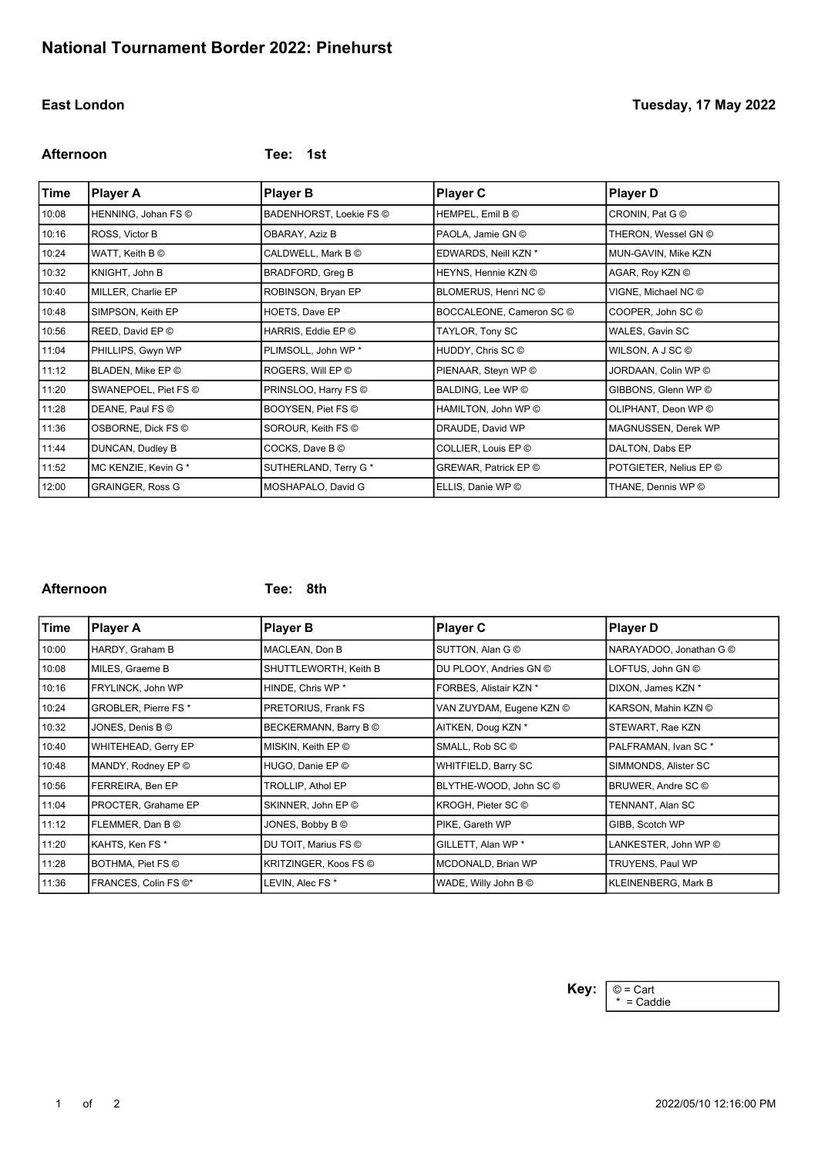**Afternoon Tee: 1st**

| Time  | <b>Player A</b>         | <b>Player B</b>         | <b>Player C</b>          | <b>Player D</b>        |
|-------|-------------------------|-------------------------|--------------------------|------------------------|
| 10:08 | HENNING, Johan FS ©     | BADENHORST, Loekie FS © | HEMPEL, Emil B C         | CRONIN, Pat G ©        |
| 10:16 | ROSS, Victor B          | OBARAY, Aziz B          | PAOLA, Jamie GN ©        | THERON, Wessel GN ©    |
| 10:24 | WATT, Keith B ©         | CALDWELL, Mark B ©      | EDWARDS, Neill KZN *     | MUN-GAVIN, Mike KZN    |
| 10:32 | KNIGHT, John B          | <b>BRADFORD, Greg B</b> | HEYNS, Hennie KZN ©      | AGAR, Roy KZN ©        |
| 10:40 | MILLER, Charlie EP      | ROBINSON, Bryan EP      | BLOMERUS, Henri NC ©     | VIGNE, Michael NC ©    |
| 10:48 | SIMPSON, Keith EP       | HOETS, Dave EP          | BOCCALEONE, Cameron SC © | COOPER, John SC C      |
| 10:56 | REED, David EP ©        | HARRIS, Eddie EP ©      | TAYLOR, Tony SC          | WALES, Gavin SC        |
| 11:04 | PHILLIPS, Gwyn WP       | PLIMSOLL, John WP *     | HUDDY, Chris SC ©        | WILSON, A J SC ©       |
| 11:12 | BLADEN, Mike EP ©       | ROGERS, Will EP ©       | PIENAAR, Steyn WP ©      | JORDAAN, Colin WP ©    |
| 11:20 | SWANEPOEL, Piet FS ©    | PRINSLOO, Harry FS ©    | BALDING, Lee WP ©        | GIBBONS, Glenn WP ©    |
| 11:28 | DEANE, Paul FS ©        | BOOYSEN, Piet FS ©      | HAMILTON, John WP ©      | OLIPHANT, Deon WP ©    |
| 11:36 | OSBORNE, Dick FS ©      | SOROUR, Keith FS ©      | DRAUDE, David WP         | MAGNUSSEN, Derek WP    |
| 11:44 | DUNCAN, Dudley B        | COCKS, Dave B ©         | COLLIER, Louis EP ©      | DALTON, Dabs EP        |
| 11:52 | MC KENZIE, Kevin G*     | SUTHERLAND, Terry G*    | GREWAR, Patrick EP ©     | POTGIETER, Nelius EP © |
| 12:00 | <b>GRAINGER, Ross G</b> | MOSHAPALO, David G      | ELLIS, Danie WP ©        | THANE, Dennis WP ©     |

### **Afternoon Tee: 8th**

| Time  | <b>Player A</b>                    | <b>Player B</b>              | <b>Player C</b>          | <b>Player D</b>            |
|-------|------------------------------------|------------------------------|--------------------------|----------------------------|
| 10:00 | HARDY, Graham B                    | MACLEAN, Don B               | SUTTON, Alan G ©         | NARAYADOO, Jonathan G C    |
| 10:08 | MILES, Graeme B                    | SHUTTLEWORTH, Keith B        | DU PLOOY, Andries GN ©   | LOFTUS, John GN ©          |
| 10:16 | FRYLINCK, John WP                  | HINDE, Chris WP *            | FORBES, Alistair KZN *   | DIXON, James KZN *         |
| 10:24 | GROBLER, Pierre FS*                | PRETORIUS, Frank FS          | VAN ZUYDAM, Eugene KZN © | KARSON, Mahin KZN ©        |
| 10:32 | JONES, Denis B ©                   | BECKERMANN, Barry B ©        | AITKEN, Doug KZN *       | STEWART, Rae KZN           |
| 10:40 | WHITEHEAD, Gerry EP                | MISKIN, Keith EP ©           | SMALL, Rob SC C          | PALFRAMAN, Ivan SC*        |
| 10:48 | MANDY, Rodney EP ©                 | HUGO, Danie EP ©             | WHITFIELD, Barry SC      | SIMMONDS, Alister SC       |
| 10:56 | FERREIRA, Ben EP                   | <b>TROLLIP, Athol EP</b>     | BLYTHE-WOOD, John SC C   | BRUWER, Andre SC ©         |
| 11:04 | PROCTER, Grahame EP                | SKINNER, John EP ©           | KROGH, Pieter SC ©       | TENNANT, Alan SC           |
| 11:12 | FLEMMER, Dan BO                    | JONES, Bobby B C             | PIKE, Gareth WP          | GIBB, Scotch WP            |
| 11:20 | KAHTS, Ken FS *                    | DU TOIT, Marius FS ©         | GILLETT, Alan WP *       | LANKESTER, John WP ©       |
| 11:28 | BOTHMA, Piet FS ©                  | <b>KRITZINGER, Koos FS ©</b> | MCDONALD, Brian WP       | TRUYENS, Paul WP           |
| 11:36 | FRANCES, Colin FS $\circledcirc^*$ | LEVIN, Alec FS *             | WADE, Willy John B C     | <b>KLEINENBERG, Mark B</b> |

\* = Caddie